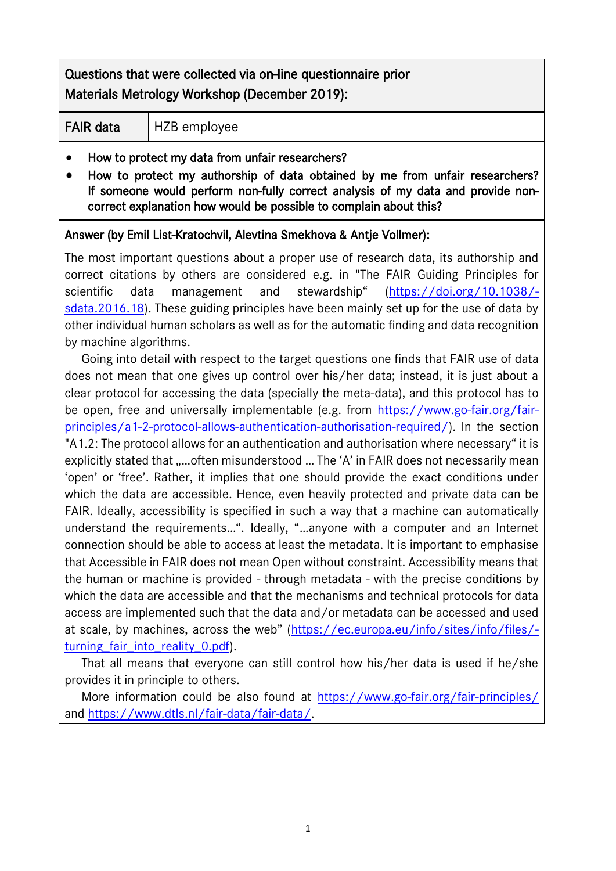# Questions that were collected via on-line questionnaire prior Materials Metrology Workshop (December 2019):

#### FAIR data | HZB employee

- How to protect my data from unfair researchers?
- How to protect my authorship of data obtained by me from unfair researchers? If someone would perform non-fully correct analysis of my data and provide noncorrect explanation how would be possible to complain about this?

#### Answer (by Emil List-Kratochvil, Alevtina Smekhova & Antje Vollmer):

The most important questions about a proper use of research data, its authorship and correct citations by others are considered e.g. in "The FAIR Guiding Principles for scientific data management and stewardship" ([https://doi.org/10.1038/](https://mail.helmholtz-berlin.de/owa/redir.aspx?C=AuGoPQjOq3pi9TWwf9Kwe9JeKovEojYtGJQfdh2U7OEBjCGl7arXCA..&URL=https%3a%2f%2fdoi.org%2f10.1038%2fsdata.2016.18) [sdata.2016.18\)](https://mail.helmholtz-berlin.de/owa/redir.aspx?C=AuGoPQjOq3pi9TWwf9Kwe9JeKovEojYtGJQfdh2U7OEBjCGl7arXCA..&URL=https%3a%2f%2fdoi.org%2f10.1038%2fsdata.2016.18). These guiding principles have been mainly set up for the use of data by other individual human scholars as well as for the automatic finding and data recognition by machine algorithms.

 Going into detail with respect to the target questions one finds that FAIR use of data does not mean that one gives up control over his/her data; instead, it is just about a clear protocol for accessing the data (specially the meta-data), and this protocol has to be open, free and universally implementable (e.g. from [https://www.go-fair.org/fair](https://mail.helmholtz-berlin.de/owa/redir.aspx?C=ebzYPD1ETAZ1Xrev8iPnu8zLRY-FelPyRB6y-f9GmMsBjCGl7arXCA..&URL=https%3a%2f%2fwww.go-fair.org%2ffair-principles%2fa1-2-protocol-allows-authentication-authorisation-required%2f)[principles/a1-2-protocol-allows-authentication-authorisation-required/\)](https://mail.helmholtz-berlin.de/owa/redir.aspx?C=ebzYPD1ETAZ1Xrev8iPnu8zLRY-FelPyRB6y-f9GmMsBjCGl7arXCA..&URL=https%3a%2f%2fwww.go-fair.org%2ffair-principles%2fa1-2-protocol-allows-authentication-authorisation-required%2f). In the section "A1.2: The protocol allows for an authentication and authorisation where necessary" it is explicitly stated that .....often misunderstood ... The 'A' in FAIR does not necessarily mean 'open' or 'free'. Rather, it implies that one should provide the exact conditions under which the data are accessible. Hence, even heavily protected and private data can be FAIR. Ideally, accessibility is specified in such a way that a machine can automatically understand the requirements…". Ideally, "…anyone with a computer and an Internet connection should be able to access at least the metadata. It is important to emphasise that Accessible in FAIR does not mean Open without constraint. Accessibility means that the human or machine is provided - through metadata - with the precise conditions by which the data are accessible and that the mechanisms and technical protocols for data access are implemented such that the data and/or metadata can be accessed and used at scale, by machines, across the web" ([https://ec.europa.eu/info/sites/info/files/](https://ec.europa.eu/info/sites/info/files/turning_fair_into_reality_0.pdf) turning fair into reality 0.pdf).

 That all means that everyone can still control how his/her data is used if he/she provides it in principle to others.

More information could be also found at <https://www.go-fair.org/fair-principles/> and [https://www.dtls.nl/fair-data/fair-data/.](https://www.dtls.nl/fair-data/fair-data/)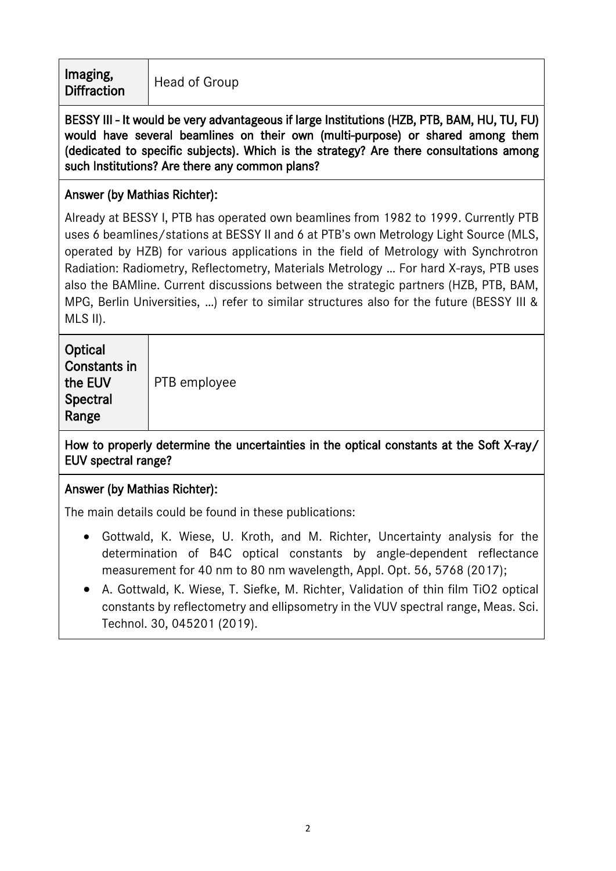Imaging, **Diffraction** Head of Group

BESSY III - It would be very advantageous if large Institutions (HZB, PTB, BAM, HU, TU, FU) would have several beamlines on their own (multi-purpose) or shared among them (dedicated to specific subjects). Which is the strategy? Are there consultations among such Institutions? Are there any common plans?

## Answer (by Mathias Richter):

Already at BESSY I, PTB has operated own beamlines from 1982 to 1999. Currently PTB uses 6 beamlines/stations at BESSY II and 6 at PTB's own Metrology Light Source (MLS, operated by HZB) for various applications in the field of Metrology with Synchrotron Radiation: Radiometry, Reflectometry, Materials Metrology … For hard X-rays, PTB uses also the BAMline. Current discussions between the strategic partners (HZB, PTB, BAM, MPG, Berlin Universities, …) refer to similar structures also for the future (BESSY III & MLS II).

| Optical<br>Constants in<br>the EUV<br>Spectral<br>Range | PTB employee |
|---------------------------------------------------------|--------------|
|---------------------------------------------------------|--------------|

How to properly determine the uncertainties in the optical constants at the Soft X-ray/ EUV spectral range?

### Answer (by Mathias Richter):

The main details could be found in these publications:

- Gottwald, K. Wiese, U. Kroth, and M. Richter, Uncertainty analysis for the determination of B4C optical constants by angle-dependent reflectance measurement for 40 nm to 80 nm wavelength, Appl. Opt. 56, 5768 (2017);
- A. Gottwald, K. Wiese, T. Siefke, M. Richter, Validation of thin film TiO2 optical constants by reflectometry and ellipsometry in the VUV spectral range, Meas. Sci. Technol. 30, 045201 (2019).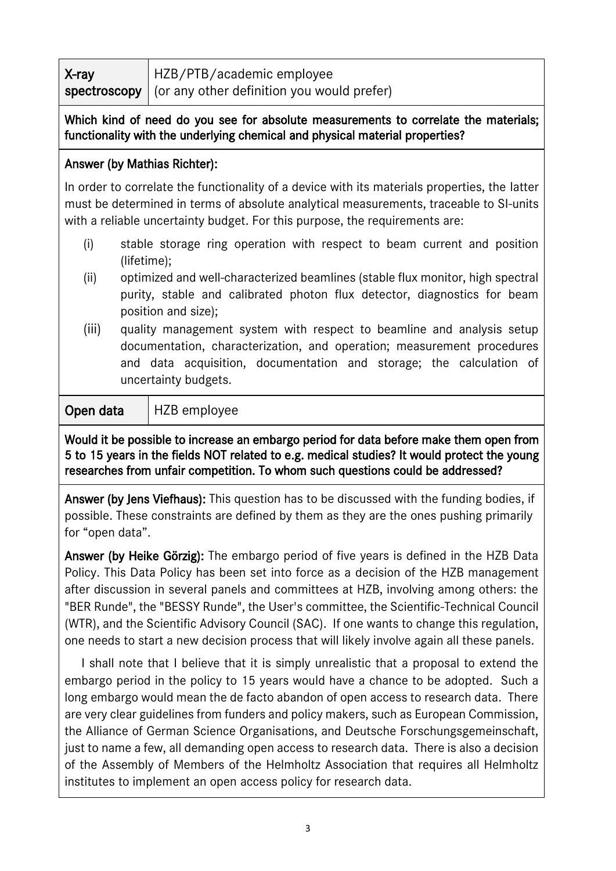| X-ray | HZB/PTB/academic employee                                 |
|-------|-----------------------------------------------------------|
|       | spectroscopy   (or any other definition you would prefer) |

#### Which kind of need do you see for absolute measurements to correlate the materials; functionality with the underlying chemical and physical material properties?

#### Answer (by Mathias Richter):

In order to correlate the functionality of a device with its materials properties, the latter must be determined in terms of absolute analytical measurements, traceable to SI-units with a reliable uncertainty budget. For this purpose, the requirements are:

- (i) stable storage ring operation with respect to beam current and position (lifetime);
- (ii) optimized and well-characterized beamlines (stable flux monitor, high spectral purity, stable and calibrated photon flux detector, diagnostics for beam position and size);
- (iii) quality management system with respect to beamline and analysis setup documentation, characterization, and operation; measurement procedures and data acquisition, documentation and storage; the calculation of uncertainty budgets.

**Open data** | HZB employee

Would it be possible to increase an embargo period for data before make them open from 5 to 15 years in the fields NOT related to e.g. medical studies? It would protect the young researches from unfair competition. To whom such questions could be addressed?

Answer (by Jens Viefhaus): This question has to be discussed with the funding bodies, if possible. These constraints are defined by them as they are the ones pushing primarily for "open data".

Answer (by Heike Görzig): The embargo period of five years is defined in the HZB Data Policy. This Data Policy has been set into force as a decision of the HZB management after discussion in several panels and committees at HZB, involving among others: the "BER Runde", the "BESSY Runde", the User's committee, the Scientific-Technical Council (WTR), and the Scientific Advisory Council (SAC). If one wants to change this regulation, one needs to start a new decision process that will likely involve again all these panels.

 I shall note that I believe that it is simply unrealistic that a proposal to extend the embargo period in the policy to 15 years would have a chance to be adopted. Such a long embargo would mean the de facto abandon of open access to research data. There are very clear guidelines from funders and policy makers, such as European Commission, the Alliance of German Science Organisations, and Deutsche Forschungsgemeinschaft, just to name a few, all demanding open access to research data. There is also a decision of the Assembly of Members of the Helmholtz Association that requires all Helmholtz institutes to implement an open access policy for research data.